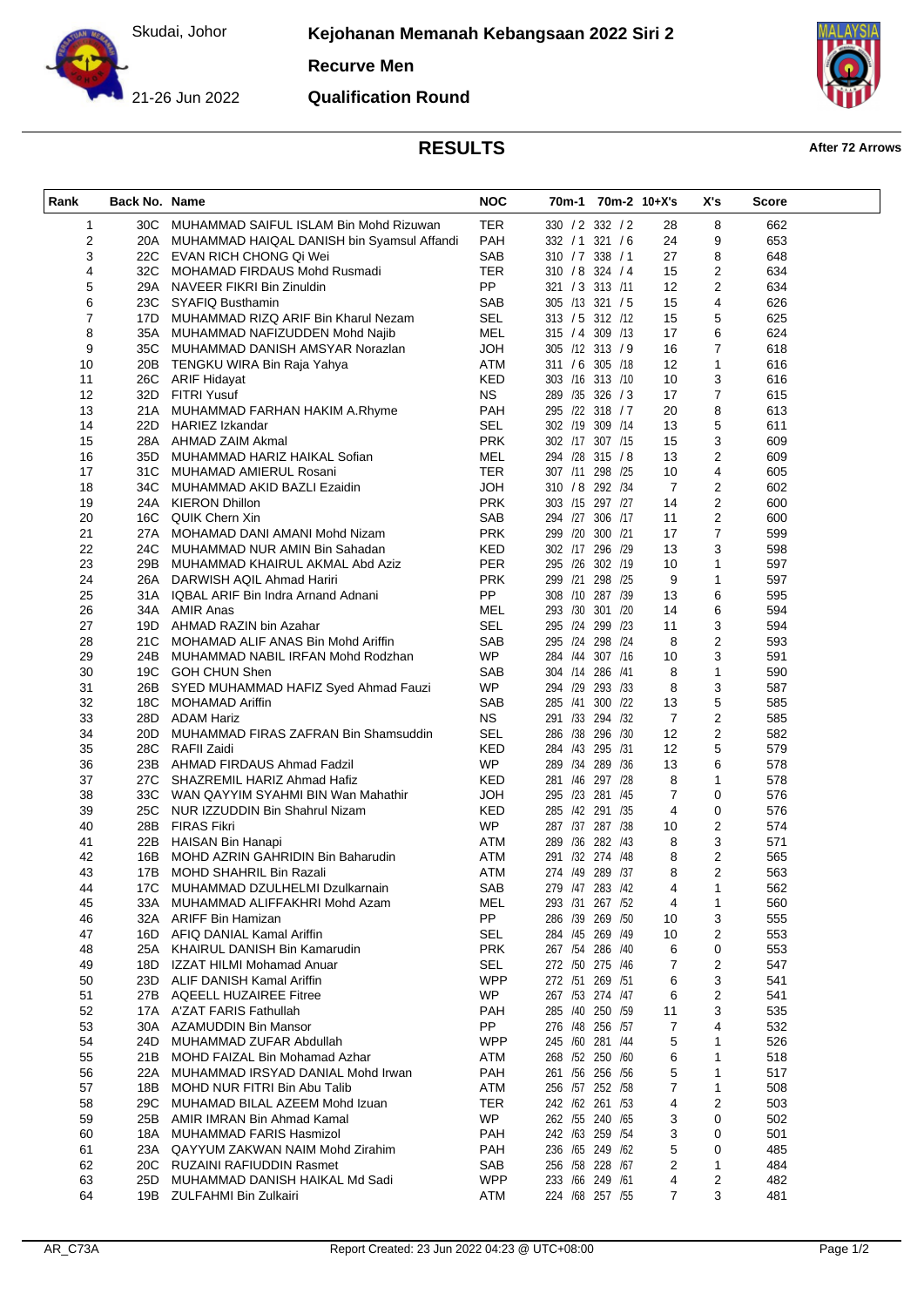Skudai, Johor

**Kejohanan Memanah Kebangsaan 2022 Siri 2**

**Recurve Men**



**Qualification Round**



## **RESULTS After 72 Arrows**

| Rank             | Back No. Name |                                                             | <b>NOC</b>              |                                    | 70m-1 70m-2 10+X's |                | X's                 | Score      |  |
|------------------|---------------|-------------------------------------------------------------|-------------------------|------------------------------------|--------------------|----------------|---------------------|------------|--|
| $\mathbf{1}$     |               | 30C MUHAMMAD SAIFUL ISLAM Bin Mohd Rizuwan                  | <b>TER</b>              | 330 / 2 332 / 2                    |                    | 28             | 8                   | 662        |  |
| 2                |               | 20A MUHAMMAD HAIQAL DANISH bin Syamsul Affandi              | <b>PAH</b>              | 332 / 1 321 / 6                    |                    | 24             | 9                   | 653        |  |
| 3                |               | 22C EVAN RICH CHONG Qi Wei                                  | SAB                     | 310 / 7 338 / 1                    |                    | 27             | 8                   | 648        |  |
| 4                |               | 32C MOHAMAD FIRDAUS Mohd Rusmadi                            | <b>TER</b>              | 310 / 8 324 / 4                    |                    | 15             | $\overline{c}$      | 634        |  |
| 5                |               | 29A NAVEER FIKRI Bin Zinuldin                               | <b>PP</b>               | 321 / 3 313 /11                    |                    | 12             | $\overline{2}$      | 634        |  |
| 6                |               | 23C SYAFIQ Busthamin                                        | SAB                     | 305 /13 321 / 5                    |                    | 15             | 4                   | 626        |  |
| $\boldsymbol{7}$ |               | 17D MUHAMMAD RIZQ ARIF Bin Kharul Nezam                     | SEL                     | 313 / 5 312 /12                    |                    | 15             | 5                   | 625        |  |
| 8                |               | 35A MUHAMMAD NAFIZUDDEN Mohd Najib                          | MEL                     | 315 / 4 309 /13                    |                    | 17             | 6                   | 624        |  |
| 9                |               | 35C MUHAMMAD DANISH AMSYAR Norazlan                         | <b>HOL</b>              | 305 /12 313 / 9                    |                    | 16             | 7                   | 618        |  |
| 10               |               | 20B TENGKU WIRA Bin Raja Yahya                              | ATM<br>KED              | 311 / 6 305 /18<br>303 /16 313 /10 |                    | 12<br>10       | $\mathbf{1}$        | 616<br>616 |  |
| 11<br>12         |               | 26C ARIF Hidayat<br>32D FITRI Yusuf                         | <b>NS</b>               | 289 /35 326 / 3                    |                    | 17             | 3<br>$\overline{7}$ | 615        |  |
| 13               |               | 21A MUHAMMAD FARHAN HAKIM A.Rhyme                           | PAH                     | 295 /22 318 / 7                    |                    | 20             | 8                   | 613        |  |
| 14               |               | 22D HARIEZ Izkandar                                         | <b>SEL</b>              | 302 /19 309 /14                    |                    | 13             | 5                   | 611        |  |
| 15               |               | 28A AHMAD ZAIM Akmal                                        | <b>PRK</b>              | 302 /17 307 /15                    |                    | 15             | 3                   | 609        |  |
| 16               |               | 35D MUHAMMAD HARIZ HAIKAL Sofian                            | MEL                     | 294 /28 315 /8                     |                    | 13             | $\overline{c}$      | 609        |  |
| 17               |               | 31C MUHAMAD AMIERUL Rosani                                  | TER                     | 307 /11 298 /25                    |                    | 10             | 4                   | 605        |  |
| 18               |               | 34C MUHAMMAD AKID BAZLI Ezaidin                             | <b>HOL</b>              | 310 / 8 292 / 34                   |                    | 7              | 2                   | 602        |  |
| 19               |               | 24A KIERON Dhillon                                          | <b>PRK</b>              | 303 /15 297 /27                    |                    | 14             | $\overline{2}$      | 600        |  |
| 20               |               | 16C QUIK Chern Xin                                          | SAB                     | 294 /27 306 /17                    |                    | 11             | $\overline{2}$      | 600        |  |
| 21               |               | 27A MOHAMAD DANI AMANI Mohd Nizam                           | <b>PRK</b>              | 299 /20 300 /21                    |                    | 17             | $\overline{7}$      | 599        |  |
| 22               |               | 24C MUHAMMAD NUR AMIN Bin Sahadan                           | KED                     | 302 /17 296 /29                    |                    | 13             | 3                   | 598        |  |
| 23               |               | 29B MUHAMMAD KHAIRUL AKMAL Abd Aziz                         | PER                     | 295 /26 302 /19                    |                    | 10             | 1                   | 597        |  |
| 24               |               | 26A DARWISH AQIL Ahmad Hariri                               | <b>PRK</b>              | 299 /21 298 /25                    |                    | 9              | $\mathbf{1}$        | 597        |  |
| 25               |               | 31A IQBAL ARIF Bin Indra Arnand Adnani                      | PP                      | 308 /10 287 /39                    |                    | 13             | 6                   | 595        |  |
| 26               |               | 34A AMIR Anas                                               | MEL                     | 293 /30 301 /20                    |                    | 14             | 6                   | 594        |  |
| 27               |               | 19D AHMAD RAZIN bin Azahar                                  | SEL                     | 295 /24 299 /23                    |                    | 11             | 3                   | 594        |  |
| 28               |               | 21C MOHAMAD ALIF ANAS Bin Mohd Ariffin                      | SAB<br><b>WP</b>        | 295 /24 298 /24<br>284 /44 307 /16 |                    | 8<br>10        | 2                   | 593<br>591 |  |
| 29<br>30         |               | 24B MUHAMMAD NABIL IRFAN Mohd Rodzhan<br>19C GOH CHUN Shen  | SAB                     | 304 /14 286 /41                    |                    | 8              | 3<br>$\mathbf{1}$   | 590        |  |
| 31               |               | 26B SYED MUHAMMAD HAFIZ Syed Ahmad Fauzi                    | <b>WP</b>               | 294 /29 293 /33                    |                    | 8              | 3                   | 587        |  |
| 32               |               | 18C MOHAMAD Ariffin                                         | SAB                     | 285 /41 300 /22                    |                    | 13             | 5                   | 585        |  |
| 33               |               | 28D ADAM Hariz                                              | <b>NS</b>               | 291 /33 294 /32                    |                    | $\overline{7}$ | $\boldsymbol{2}$    | 585        |  |
| 34               | 20D -         | MUHAMMAD FIRAS ZAFRAN Bin Shamsuddin                        | SEL                     | 286 /38 296 /30                    |                    | 12             | $\boldsymbol{2}$    | 582        |  |
| 35               |               | 28C RAFII Zaidi                                             | KED                     | 284 /43 295 /31                    |                    | 12             | 5                   | 579        |  |
| 36               |               | 23B AHMAD FIRDAUS Ahmad Fadzil                              | <b>WP</b>               | 289 /34 289 /36                    |                    | 13             | 6                   | 578        |  |
| 37               |               | 27C SHAZREMIL HARIZ Ahmad Hafiz                             | <b>KED</b>              | 281 /46 297 /28                    |                    | 8              | 1                   | 578        |  |
| 38               |               | 33C WAN QAYYIM SYAHMI BIN Wan Mahathir                      | <b>HOL</b>              | 295 /23 281 /45                    |                    | $\overline{7}$ | 0                   | 576        |  |
| 39               |               | 25C NUR IZZUDDIN Bin Shahrul Nizam                          | KED                     | 285 /42 291 /35                    |                    | 4              | 0                   | 576        |  |
| 40               |               | 28B FIRAS Fikri                                             | <b>WP</b>               | 287 /37 287 /38                    |                    | 10             | 2                   | 574        |  |
| 41               |               | 22B HAISAN Bin Hanapi                                       | ATM                     | 289 /36 282 /43                    |                    | 8              | 3                   | 571        |  |
| 42               |               | 16B MOHD AZRIN GAHRIDIN Bin Baharudin                       | ATM                     | 291 /32 274 /48                    |                    | 8              | 2                   | 565        |  |
| 43               | 17B           | MOHD SHAHRIL Bin Razali                                     | ATM                     | 274 /49 289 /37                    |                    | 8              | 2                   | 563        |  |
| 44               |               | 17C MUHAMMAD DZULHELMI Dzulkarnain                          | <b>SAB</b>              | 279 /47 283 /42                    |                    | 4              | 1                   | 562        |  |
| 45<br>46         | 33A           | MUHAMMAD ALIFFAKHRI Mohd Azam<br>32A ARIFF Bin Hamizan      | <b>MEL</b><br><b>PP</b> | 293 /31 267 /52<br>286 /39 269 /50 |                    | 4<br>10        | 1<br>3              | 560<br>555 |  |
| 47               |               | 16D AFIQ DANIAL Kamal Ariffin                               | SEL                     | 284 /45 269 /49                    |                    | 10             | 2                   | 553        |  |
| 48               |               | 25A KHAIRUL DANISH Bin Kamarudin                            | <b>PRK</b>              | 267 /54 286 /40                    |                    | 6              | 0                   | 553        |  |
| 49               |               | 18D IZZAT HILMI Mohamad Anuar                               | <b>SEL</b>              | 272 /50 275 /46                    |                    | 7              | 2                   | 547        |  |
| 50               |               | 23D ALIF DANISH Kamal Ariffin                               | <b>WPP</b>              | 272 /51 269 /51                    |                    | 6              | 3                   | 541        |  |
| 51               |               | 27B AQEELL HUZAIREE Fitree                                  | <b>WP</b>               | 267 /53 274 /47                    |                    | 6              | 2                   | 541        |  |
| 52               |               | 17A A'ZAT FARIS Fathullah                                   | PAH                     | 285 /40 250 /59                    |                    | 11             | 3                   | 535        |  |
| 53               |               | 30A AZAMUDDIN Bin Mansor                                    | <b>PP</b>               | 276 /48 256 /57                    |                    | 7              | 4                   | 532        |  |
| 54               | 24D           | MUHAMMAD ZUFAR Abdullah                                     | <b>WPP</b>              | 245 /60 281 /44                    |                    | 5              | 1                   | 526        |  |
| 55               |               | 21B MOHD FAIZAL Bin Mohamad Azhar                           | ATM                     | 268 /52 250 /60                    |                    | 6              | 1                   | 518        |  |
| 56               |               | 22A MUHAMMAD IRSYAD DANIAL Mohd Irwan                       | PAH                     | 261 /56 256 /56                    |                    | 5              | 1                   | 517        |  |
| 57               | 18B l         | MOHD NUR FITRI Bin Abu Talib                                | ATM                     | 256 /57 252 /58                    |                    | 7              | 1                   | 508        |  |
| 58               |               | 29C MUHAMAD BILAL AZEEM Mohd Izuan                          | <b>TER</b>              | 242 /62 261 /53                    |                    | 4              | $\overline{2}$      | 503        |  |
| 59               |               | 25B AMIR IMRAN Bin Ahmad Kamal                              | <b>WP</b>               | 262 /55 240 /65                    |                    | 3              | 0                   | 502        |  |
| 60               | 18A           | MUHAMMAD FARIS Hasmizol                                     | <b>PAH</b>              | 242 /63 259 /54                    |                    | 3              | 0                   | 501        |  |
| 61               |               | 23A QAYYUM ZAKWAN NAIM Mohd Zirahim                         | PAH                     | 236 /65 249 /62                    |                    | 5              | 0                   | 485        |  |
| 62               |               | 20C RUZAINI RAFIUDDIN Rasmet                                | SAB                     | 256 /58 228 /67                    |                    | 2              | 1                   | 484        |  |
| 63<br>64         | 25D -         | MUHAMMAD DANISH HAIKAL Md Sadi<br>19B ZULFAHMI Bin Zulkairi | <b>WPP</b><br>ATM       | 233 /66 249 /61<br>224 /68 257 /55 |                    | 4<br>7         | 2<br>3              | 482        |  |
|                  |               |                                                             |                         |                                    |                    |                |                     | 481        |  |